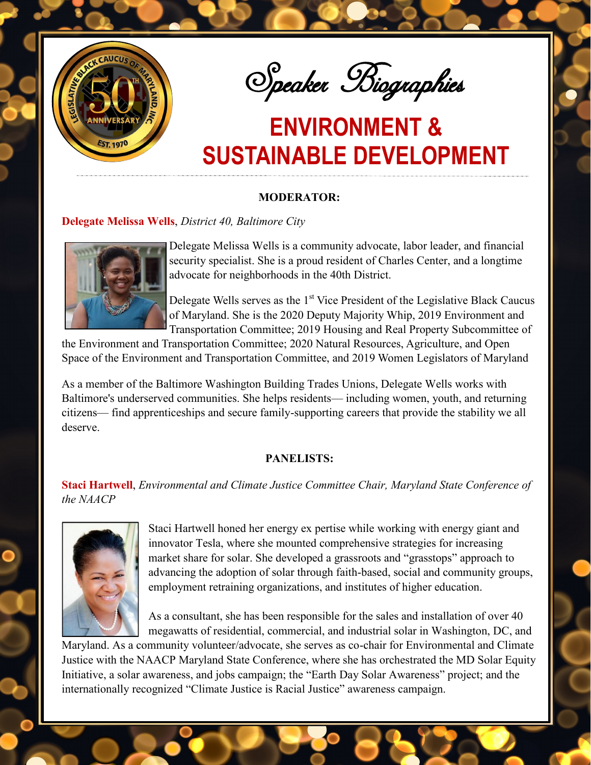

Speaker Biographies

# **ENVIRONMENT & SUSTAINABLE DEVELOPMENT**

### **MODERATOR:**

### **Delegate Melissa Wells**, *District 40, Baltimore City*



Delegate Melissa Wells is a community advocate, labor leader, and financial security specialist. She is a proud resident of Charles Center, and a longtime advocate for neighborhoods in the 40th District.

Delegate Wells serves as the  $1<sup>st</sup>$  Vice President of the Legislative Black Caucus of Maryland. She is the 2020 Deputy Majority Whip, 2019 Environment and Transportation Committee; 2019 Housing and Real Property Subcommittee of

the Environment and Transportation Committee; 2020 Natural Resources, Agriculture, and Open Space of the Environment and Transportation Committee, and 2019 Women Legislators of Maryland

As a member of the Baltimore Washington Building Trades Unions, Delegate Wells works with Baltimore's underserved communities. She helps residents— including women, youth, and returning citizens— find apprenticeships and secure family-supporting careers that provide the stability we all deserve.

### **PANELISTS:**

**Staci Hartwell**, *Environmental and Climate Justice Committee Chair, Maryland State Conference of the NAACP* 



Staci Hartwell honed her energy ex pertise while working with energy giant and innovator Tesla, where she mounted comprehensive strategies for increasing market share for solar. She developed a grassroots and "grasstops" approach to advancing the adoption of solar through faith-based, social and community groups, employment retraining organizations, and institutes of higher education.

As a consultant, she has been responsible for the sales and installation of over 40 megawatts of residential, commercial, and industrial solar in Washington, DC, and

Maryland. As a community volunteer/advocate, she serves as co-chair for Environmental and Climate Justice with the NAACP Maryland State Conference, where she has orchestrated the MD Solar Equity Initiative, a solar awareness, and jobs campaign; the "Earth Day Solar Awareness" project; and the internationally recognized "Climate Justice is Racial Justice" awareness campaign.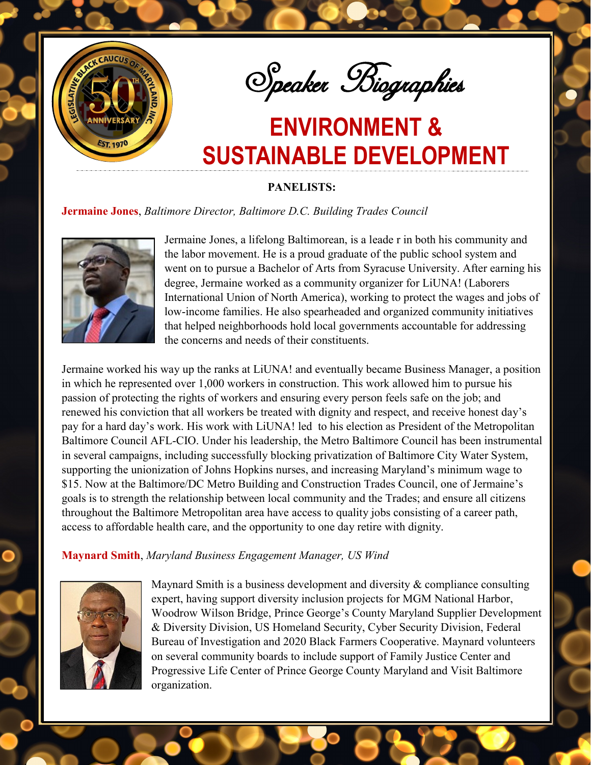

Speaker Biographies

## **ENVIRONMENT & SUSTAINABLE DEVELOPMENT**

**PANELISTS:**

### **Jermaine Jones**, *Baltimore Director, Baltimore D.C. Building Trades Council*



Jermaine Jones, a lifelong Baltimorean, is a leade r in both his community and the labor movement. He is a proud graduate of the public school system and went on to pursue a Bachelor of Arts from Syracuse University. After earning his degree, Jermaine worked as a community organizer for LiUNA! (Laborers International Union of North America), working to protect the wages and jobs of low-income families. He also spearheaded and organized community initiatives that helped neighborhoods hold local governments accountable for addressing the concerns and needs of their constituents.

Jermaine worked his way up the ranks at LiUNA! and eventually became Business Manager, a position in which he represented over 1,000 workers in construction. This work allowed him to pursue his passion of protecting the rights of workers and ensuring every person feels safe on the job; and renewed his conviction that all workers be treated with dignity and respect, and receive honest day's pay for a hard day's work. His work with LiUNA! led to his election as President of the Metropolitan Baltimore Council AFL-CIO. Under his leadership, the Metro Baltimore Council has been instrumental in several campaigns, including successfully blocking privatization of Baltimore City Water System, supporting the unionization of Johns Hopkins nurses, and increasing Maryland's minimum wage to \$15. Now at the Baltimore/DC Metro Building and Construction Trades Council, one of Jermaine's goals is to strength the relationship between local community and the Trades; and ensure all citizens throughout the Baltimore Metropolitan area have access to quality jobs consisting of a career path, access to affordable health care, and the opportunity to one day retire with dignity.

### **Maynard Smith**, *Maryland Business Engagement Manager, US Wind*



Maynard Smith is a business development and diversity & compliance consulting expert, having support diversity inclusion projects for MGM National Harbor, Woodrow Wilson Bridge, Prince George's County Maryland Supplier Development & Diversity Division, US Homeland Security, Cyber Security Division, Federal Bureau of Investigation and 2020 Black Farmers Cooperative. Maynard volunteers on several community boards to include support of Family Justice Center and Progressive Life Center of Prince George County Maryland and Visit Baltimore organization.